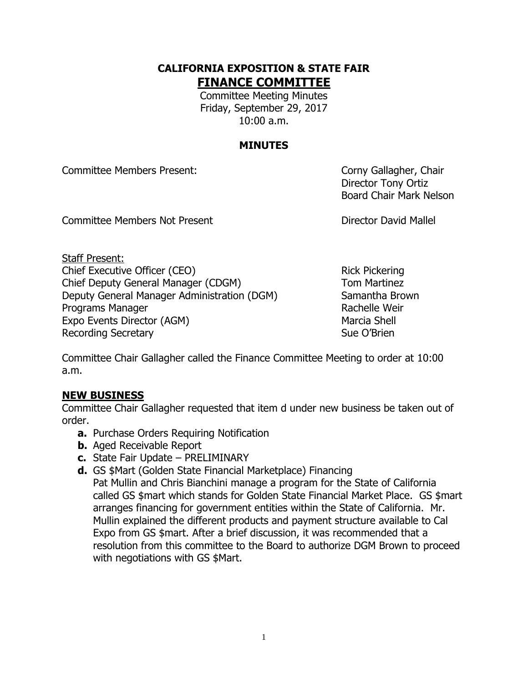# **CALIFORNIA EXPOSITION & STATE FAIR FINANCE COMMITTEE**

Committee Meeting Minutes Friday, September 29, 2017 10:00 a.m.

# **MINUTES**

Committee Members Present: Committee Members Present:

Director Tony Ortiz Board Chair Mark Nelson

Committee Members Not Present **Director David Mallel** 

Staff Present: Chief Executive Officer (CEO) Rick Pickering Chief Deputy General Manager (CDGM) Tom Martinez Deputy General Manager Administration (DGM) Samantha Brown Programs Manager **Rachelle Weir** Rachelle Weir Expo Events Director (AGM) Marcia Shell Recording Secretary **Sue O'Brien** Sue O'Brien

Committee Chair Gallagher called the Finance Committee Meeting to order at 10:00 a.m.

# **NEW BUSINESS**

Committee Chair Gallagher requested that item d under new business be taken out of order.

- **a.** Purchase Orders Requiring Notification
- **b.** Aged Receivable Report
- **c.** State Fair Update PRELIMINARY
- **d.** GS \$Mart (Golden State Financial Marketplace) Financing

Pat Mullin and Chris Bianchini manage a program for the State of California called GS \$mart which stands for Golden State Financial Market Place. GS \$mart arranges financing for government entities within the State of California. Mr. Mullin explained the different products and payment structure available to Cal Expo from GS \$mart. After a brief discussion, it was recommended that a resolution from this committee to the Board to authorize DGM Brown to proceed with negotiations with GS \$Mart.